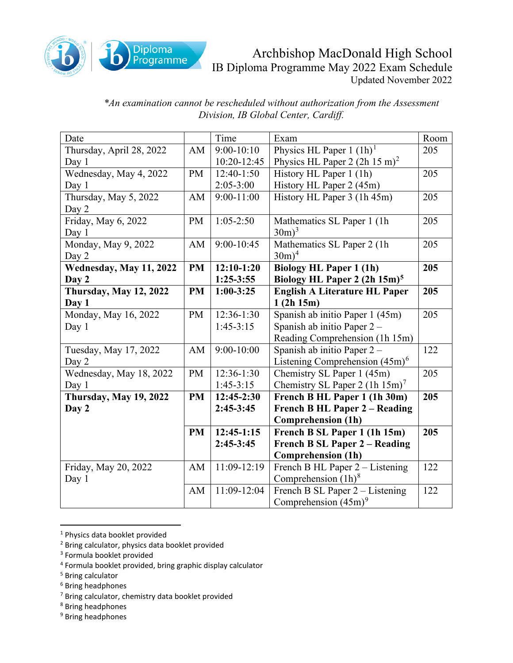

## Archbishop MacDonald High School IB Diploma Programme May 2022 Exam Schedule Updated November 2022

*\*An examination cannot be rescheduled without authorization from the Assessment Division, IB Global Center, Cardiff.*

| Date                          |           | Time           | Exam                                     | Room |
|-------------------------------|-----------|----------------|------------------------------------------|------|
| Thursday, April 28, 2022      | AM        | $9:00-10:10$   | Physics HL Paper $1 (1h)^1$              | 205  |
| Day 1                         |           | 10:20-12:45    | Physics HL Paper $2(2h 15 m)^2$          |      |
| Wednesday, May 4, 2022        | <b>PM</b> | $12:40-1:50$   | History HL Paper 1 (1h)                  | 205  |
| Day 1                         |           | $2:05 - 3:00$  | History HL Paper 2 (45m)                 |      |
| Thursday, May 5, 2022         | AM        | $9:00-11:00$   | History HL Paper 3 (1h 45m)              | 205  |
| Day 2                         |           |                |                                          |      |
| Friday, May 6, 2022           | PM        | $1:05-2:50$    | Mathematics SL Paper 1 (1h)              | 205  |
| Day 1                         |           |                | $30m$ <sup>3</sup>                       |      |
| Monday, May 9, 2022           | AM        | $9:00 - 10:45$ | Mathematics SL Paper 2 (1h)              | 205  |
| Day 2                         |           |                | $30m)^4$                                 |      |
| Wednesday, May 11, 2022       | <b>PM</b> | $12:10-1:20$   | <b>Biology HL Paper 1 (1h)</b>           | 205  |
| Day 2                         |           | $1:25-3:55$    | Biology HL Paper 2 (2h 15m) <sup>5</sup> |      |
| <b>Thursday, May 12, 2022</b> | <b>PM</b> | $1:00-3:25$    | <b>English A Literature HL Paper</b>     | 205  |
| Day 1                         |           |                | 1(2h 15m)                                |      |
| Monday, May 16, 2022          | PM        | 12:36-1:30     | Spanish ab initio Paper 1 (45m)          | 205  |
| Day $1$                       |           | $1:45-3:15$    | Spanish ab initio Paper 2 -              |      |
|                               |           |                | Reading Comprehension (1h 15m)           |      |
| Tuesday, May 17, 2022         | AM        | $9:00 - 10:00$ | Spanish ab initio Paper 2 -              | 122  |
| Day 2                         |           |                | Listening Comprehension $(45m)^6$        |      |
| Wednesday, May 18, 2022       | PM        | 12:36-1:30     | Chemistry SL Paper 1 (45m)               | 205  |
| Day 1                         |           | $1:45-3:15$    | Chemistry SL Paper 2 $(1h 15m)^7$        |      |
| <b>Thursday, May 19, 2022</b> | <b>PM</b> | 12:45-2:30     | French B HL Paper 1 (1h 30m)             | 205  |
| Day 2                         |           | $2:45-3:45$    | <b>French B HL Paper 2 – Reading</b>     |      |
|                               |           |                | <b>Comprehension (1h)</b>                |      |
|                               | <b>PM</b> | $12:45-1:15$   | French B SL Paper 1 (1h 15m)             | 205  |
|                               |           | $2:45-3:45$    | <b>French B SL Paper 2 - Reading</b>     |      |
|                               |           |                | <b>Comprehension (1h)</b>                |      |
| Friday, May 20, 2022          | AM        | 11:09-12:19    | French B HL Paper 2 – Listening          | 122  |
| Day 1                         |           |                | Comprehension $(1h)^8$                   |      |
|                               | AM        | 11:09-12:04    | French B SL Paper 2 – Listening          | 122  |
|                               |           |                | Comprehension $(45m)^9$                  |      |

<span id="page-0-0"></span><sup>1</sup> Physics data booklet provided

- <span id="page-0-4"></span><sup>5</sup> Bring calculator
- <span id="page-0-5"></span><sup>6</sup> Bring headphones
- <span id="page-0-6"></span><sup>7</sup> Bring calculator, chemistry data booklet provided
- <span id="page-0-7"></span><sup>8</sup> Bring headphones
- <span id="page-0-8"></span><sup>9</sup> Bring headphones

<span id="page-0-1"></span><sup>2</sup> Bring calculator, physics data booklet provided

<span id="page-0-2"></span><sup>3</sup> Formula booklet provided

<span id="page-0-3"></span><sup>4</sup> Formula booklet provided, bring graphic display calculator